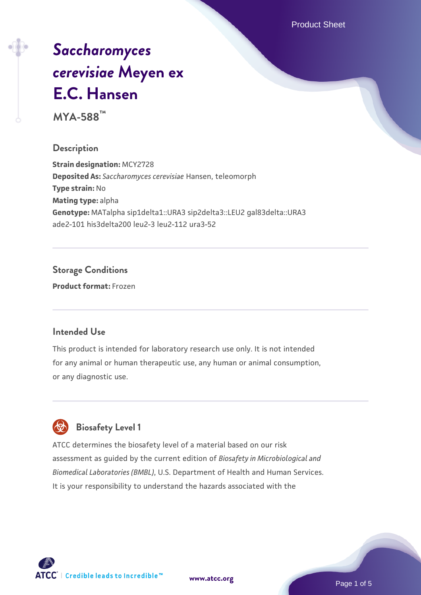Product Sheet

# *[Saccharomyces](https://www.atcc.org/products/mya-588) [cerevisiae](https://www.atcc.org/products/mya-588)* **[Meyen ex](https://www.atcc.org/products/mya-588) [E.C. Hansen](https://www.atcc.org/products/mya-588)**

**MYA-588™**

#### **Description**

**Strain designation:** MCY2728 **Deposited As:** *Saccharomyces cerevisiae* Hansen, teleomorph **Type strain:** No **Mating type:** alpha **Genotype:** MATalpha sip1delta1::URA3 sip2delta3::LEU2 gal83delta::URA3 ade2-101 his3delta200 leu2-3 leu2-112 ura3-52

#### **Storage Conditions**

**Product format:** Frozen

#### **Intended Use**

This product is intended for laboratory research use only. It is not intended for any animal or human therapeutic use, any human or animal consumption, or any diagnostic use.



#### **Biosafety Level 1**

ATCC determines the biosafety level of a material based on our risk assessment as guided by the current edition of *Biosafety in Microbiological and Biomedical Laboratories (BMBL)*, U.S. Department of Health and Human Services. It is your responsibility to understand the hazards associated with the

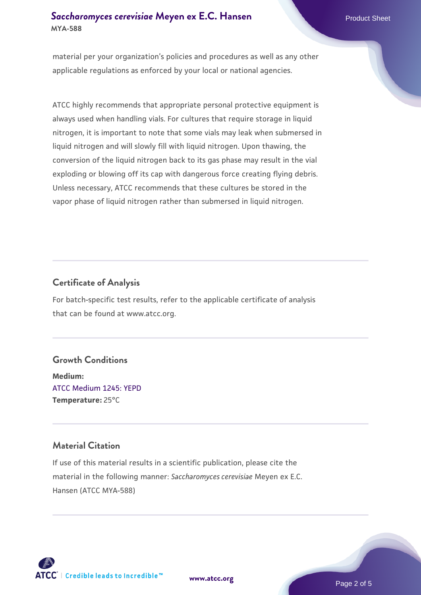#### **[Saccharomyces cerevisiae](https://www.atcc.org/products/mya-588)** [Meyen ex E.C. Hansen](https://www.atcc.org/products/mya-588) **MYA-588**

material per your organization's policies and procedures as well as any other applicable regulations as enforced by your local or national agencies.

ATCC highly recommends that appropriate personal protective equipment is always used when handling vials. For cultures that require storage in liquid nitrogen, it is important to note that some vials may leak when submersed in liquid nitrogen and will slowly fill with liquid nitrogen. Upon thawing, the conversion of the liquid nitrogen back to its gas phase may result in the vial exploding or blowing off its cap with dangerous force creating flying debris. Unless necessary, ATCC recommends that these cultures be stored in the vapor phase of liquid nitrogen rather than submersed in liquid nitrogen.

#### **Certificate of Analysis**

For batch-specific test results, refer to the applicable certificate of analysis that can be found at www.atcc.org.

#### **Growth Conditions**

**Medium:**  [ATCC Medium 1245: YEPD](https://www.atcc.org/-/media/product-assets/documents/microbial-media-formulations/1/2/4/5/atcc-medium-1245.pdf?rev=705ca55d1b6f490a808a965d5c072196) **Temperature:** 25°C

#### **Material Citation**

If use of this material results in a scientific publication, please cite the material in the following manner: *Saccharomyces cerevisiae* Meyen ex E.C. Hansen (ATCC MYA-588)



**[www.atcc.org](http://www.atcc.org)**

Page 2 of 5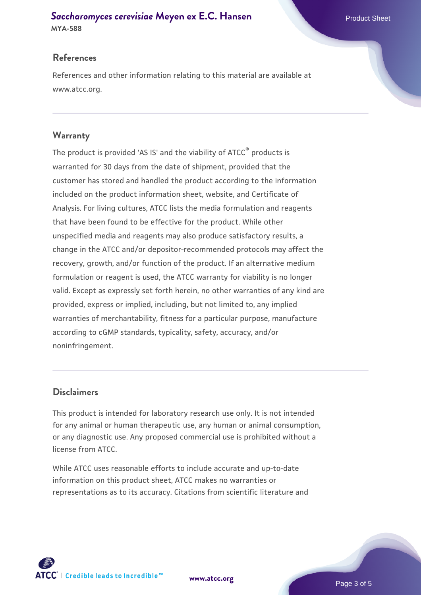## **[Saccharomyces cerevisiae](https://www.atcc.org/products/mya-588)** [Meyen ex E.C. Hansen](https://www.atcc.org/products/mya-588)

#### **MYA-588**

#### **References**

References and other information relating to this material are available at www.atcc.org.

#### **Warranty**

The product is provided 'AS IS' and the viability of ATCC® products is warranted for 30 days from the date of shipment, provided that the customer has stored and handled the product according to the information included on the product information sheet, website, and Certificate of Analysis. For living cultures, ATCC lists the media formulation and reagents that have been found to be effective for the product. While other unspecified media and reagents may also produce satisfactory results, a change in the ATCC and/or depositor-recommended protocols may affect the recovery, growth, and/or function of the product. If an alternative medium formulation or reagent is used, the ATCC warranty for viability is no longer valid. Except as expressly set forth herein, no other warranties of any kind are provided, express or implied, including, but not limited to, any implied warranties of merchantability, fitness for a particular purpose, manufacture according to cGMP standards, typicality, safety, accuracy, and/or noninfringement.

#### **Disclaimers**

This product is intended for laboratory research use only. It is not intended for any animal or human therapeutic use, any human or animal consumption, or any diagnostic use. Any proposed commercial use is prohibited without a license from ATCC.

While ATCC uses reasonable efforts to include accurate and up-to-date information on this product sheet, ATCC makes no warranties or representations as to its accuracy. Citations from scientific literature and



**[www.atcc.org](http://www.atcc.org)**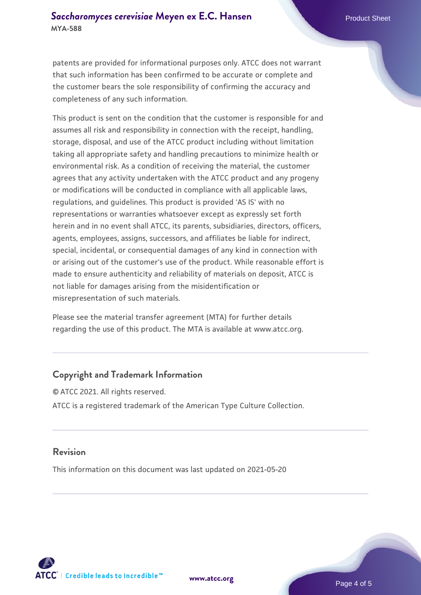#### **[Saccharomyces cerevisiae](https://www.atcc.org/products/mya-588)** [Meyen ex E.C. Hansen](https://www.atcc.org/products/mya-588) **MYA-588**

patents are provided for informational purposes only. ATCC does not warrant that such information has been confirmed to be accurate or complete and the customer bears the sole responsibility of confirming the accuracy and completeness of any such information.

This product is sent on the condition that the customer is responsible for and assumes all risk and responsibility in connection with the receipt, handling, storage, disposal, and use of the ATCC product including without limitation taking all appropriate safety and handling precautions to minimize health or environmental risk. As a condition of receiving the material, the customer agrees that any activity undertaken with the ATCC product and any progeny or modifications will be conducted in compliance with all applicable laws, regulations, and guidelines. This product is provided 'AS IS' with no representations or warranties whatsoever except as expressly set forth herein and in no event shall ATCC, its parents, subsidiaries, directors, officers, agents, employees, assigns, successors, and affiliates be liable for indirect, special, incidental, or consequential damages of any kind in connection with or arising out of the customer's use of the product. While reasonable effort is made to ensure authenticity and reliability of materials on deposit, ATCC is not liable for damages arising from the misidentification or misrepresentation of such materials.

Please see the material transfer agreement (MTA) for further details regarding the use of this product. The MTA is available at www.atcc.org.

#### **Copyright and Trademark Information**

© ATCC 2021. All rights reserved. ATCC is a registered trademark of the American Type Culture Collection.

#### **Revision**

This information on this document was last updated on 2021-05-20



**[www.atcc.org](http://www.atcc.org)**